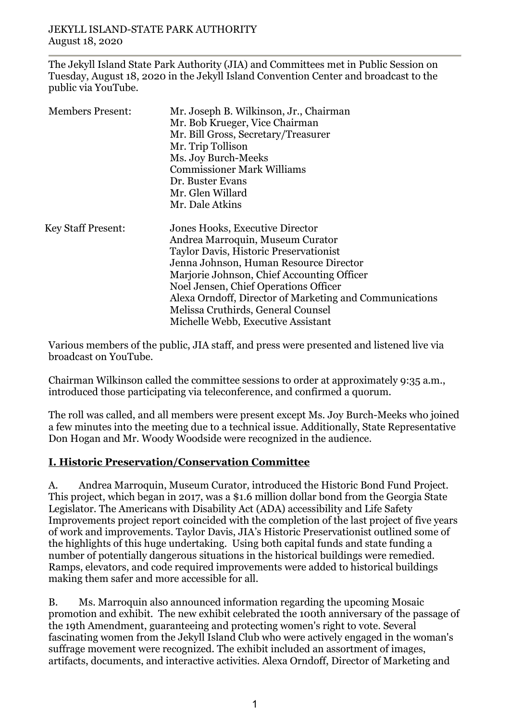The Jekyll Island State Park Authority (JIA) and Committees met in Public Session on Tuesday, August 18, 2020 in the Jekyll Island Convention Center and broadcast to the public via YouTube.

| <b>Members Present:</b>   | Mr. Joseph B. Wilkinson, Jr., Chairman<br>Mr. Bob Krueger, Vice Chairman<br>Mr. Bill Gross, Secretary/Treasurer<br>Mr. Trip Tollison<br>Ms. Joy Burch-Meeks<br><b>Commissioner Mark Williams</b><br>Dr. Buster Evans<br>Mr. Glen Willard<br>Mr. Dale Atkins                                                                                                                           |
|---------------------------|---------------------------------------------------------------------------------------------------------------------------------------------------------------------------------------------------------------------------------------------------------------------------------------------------------------------------------------------------------------------------------------|
| <b>Key Staff Present:</b> | Jones Hooks, Executive Director<br>Andrea Marroquin, Museum Curator<br>Taylor Davis, Historic Preservationist<br>Jenna Johnson, Human Resource Director<br>Marjorie Johnson, Chief Accounting Officer<br>Noel Jensen, Chief Operations Officer<br>Alexa Orndoff, Director of Marketing and Communications<br>Melissa Cruthirds, General Counsel<br>Michelle Webb, Executive Assistant |

Various members of the public, JIA staff, and press were presented and listened live via broadcast on YouTube.

Chairman Wilkinson called the committee sessions to order at approximately 9:35 a.m., introduced those participating via teleconference, and confirmed a quorum.

The roll was called, and all members were present except Ms. Joy Burch-Meeks who joined a few minutes into the meeting due to a technical issue. Additionally, State Representative Don Hogan and Mr. Woody Woodside were recognized in the audience.

## **I. Historic Preservation/Conservation Committee**

A. Andrea Marroquin, Museum Curator, introduced the Historic Bond Fund Project. This project, which began in 2017, was a \$1.6 million dollar bond from the Georgia State Legislator. The Americans with Disability Act (ADA) accessibility and Life Safety Improvements project report coincided with the completion of the last project of five years of work and improvements. Taylor Davis, JIA's Historic Preservationist outlined some of the highlights of this huge undertaking. Using both capital funds and state funding a number of potentially dangerous situations in the historical buildings were remedied. Ramps, elevators, and code required improvements were added to historical buildings making them safer and more accessible for all.

B. Ms. Marroquin also announced information regarding the upcoming Mosaic promotion and exhibit. The new exhibit celebrated the 100th anniversary of the passage of the 19th Amendment, guaranteeing and protecting women's right to vote. Several fascinating women from the Jekyll Island Club who were actively engaged in the woman's suffrage movement were recognized. The exhibit included an assortment of images, artifacts, documents, and interactive activities. Alexa Orndoff, Director of Marketing and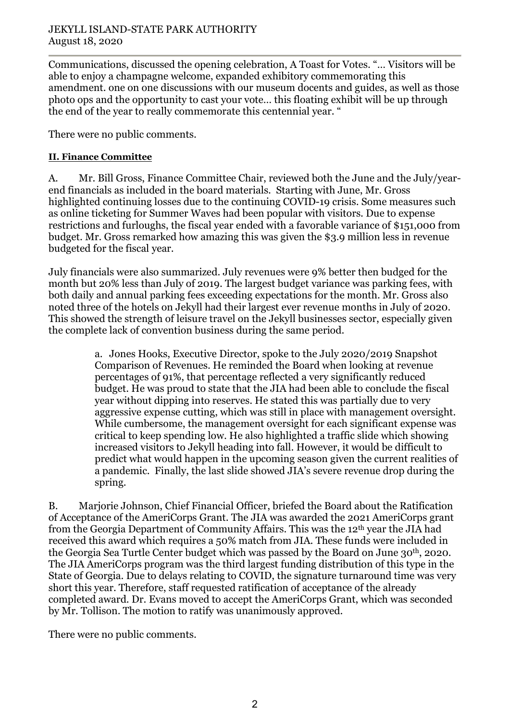Communications, discussed the opening celebration, A Toast for Votes. "… Visitors will be able to enjoy a champagne welcome, expanded exhibitory commemorating this amendment. one on one discussions with our museum docents and guides, as well as those photo ops and the opportunity to cast your vote… this floating exhibit will be up through the end of the year to really commemorate this centennial year. "

There were no public comments.

### **II. Finance Committee**

A. Mr. Bill Gross, Finance Committee Chair, reviewed both the June and the July/yearend financials as included in the board materials. Starting with June, Mr. Gross highlighted continuing losses due to the continuing COVID-19 crisis. Some measures such as online ticketing for Summer Waves had been popular with visitors. Due to expense restrictions and furloughs, the fiscal year ended with a favorable variance of \$151,000 from budget. Mr. Gross remarked how amazing this was given the \$3.9 million less in revenue budgeted for the fiscal year.

July financials were also summarized. July revenues were 9% better then budged for the month but 20% less than July of 2019. The largest budget variance was parking fees, with both daily and annual parking fees exceeding expectations for the month. Mr. Gross also noted three of the hotels on Jekyll had their largest ever revenue months in July of 2020. This showed the strength of leisure travel on the Jekyll businesses sector, especially given the complete lack of convention business during the same period.

> a. Jones Hooks, Executive Director, spoke to the July 2020/2019 Snapshot Comparison of Revenues. He reminded the Board when looking at revenue percentages of 91%, that percentage reflected a very significantly reduced budget. He was proud to state that the JIA had been able to conclude the fiscal year without dipping into reserves. He stated this was partially due to very aggressive expense cutting, which was still in place with management oversight. While cumbersome, the management oversight for each significant expense was critical to keep spending low. He also highlighted a traffic slide which showing increased visitors to Jekyll heading into fall. However, it would be difficult to predict what would happen in the upcoming season given the current realities of a pandemic. Finally, the last slide showed JIA's severe revenue drop during the spring.

B. Marjorie Johnson, Chief Financial Officer, briefed the Board about the Ratification of Acceptance of the AmeriCorps Grant. The JIA was awarded the 2021 AmeriCorps grant from the Georgia Department of Community Affairs. This was the 12th year the JIA had received this award which requires a 50% match from JIA. These funds were included in the Georgia Sea Turtle Center budget which was passed by the Board on June 30th, 2020. The JIA AmeriCorps program was the third largest funding distribution of this type in the State of Georgia. Due to delays relating to COVID, the signature turnaround time was very short this year. Therefore, staff requested ratification of acceptance of the already completed award. Dr. Evans moved to accept the AmeriCorps Grant, which was seconded by Mr. Tollison. The motion to ratify was unanimously approved.

There were no public comments.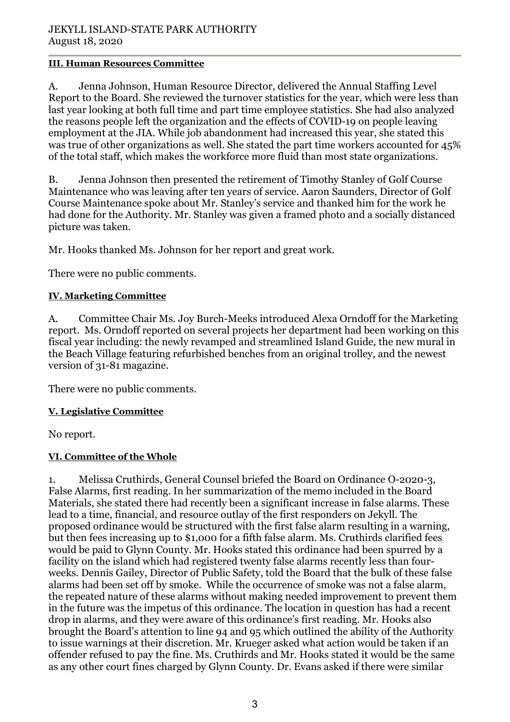### **III. Human Resources Committee**

A. Jenna Johnson, Human Resource Director, delivered the Annual Staffing Level Report to the Board. She reviewed the turnover statistics for the year, which were less than last year looking at both full time and part time employee statistics. She had also analyzed the reasons people left the organization and the effects of COVID-19 on people leaving employment at the JIA. While job abandonment had increased this year, she stated this was true of other organizations as well. She stated the part time workers accounted for 45% of the total staff, which makes the workforce more fluid than most state organizations.

B. Jenna Johnson then presented the retirement of Timothy Stanley of Golf Course Maintenance who was leaving after ten years of service. Aaron Saunders, Director of Golf Course Maintenance spoke about Mr. Stanley's service and thanked him for the work he had done for the Authority. Mr. Stanley was given a framed photo and a socially distanced picture was taken.

Mr. Hooks thanked Ms. Johnson for her report and great work.

There were no public comments.

# **IV. Marketing Committee**

A. Committee Chair Ms. Joy Burch-Meeks introduced Alexa Orndoff for the Marketing report. Ms. Orndoff reported on several projects her department had been working on this fiscal year including: the newly revamped and streamlined Island Guide, the new mural in the Beach Village featuring refurbished benches from an original trolley, and the newest version of 31-81 magazine.

There were no public comments.

## **V. Legislative Committee**

No report.

## **VI. Committee of the Whole**

1. Melissa Cruthirds, General Counsel briefed the Board on Ordinance O-2020-3, False Alarms, first reading. In her summarization of the memo included in the Board Materials, she stated there had recently been a significant increase in false alarms. These lead to a time, financial, and resource outlay of the first responders on Jekyll. The proposed ordinance would be structured with the first false alarm resulting in a warning, but then fees increasing up to \$1,000 for a fifth false alarm. Ms. Cruthirds clarified fees would be paid to Glynn County. Mr. Hooks stated this ordinance had been spurred by a facility on the island which had registered twenty false alarms recently less than fourweeks. Dennis Gailey, Director of Public Safety, told the Board that the bulk of these false alarms had been set off by smoke. While the occurrence of smoke was not a false alarm, the repeated nature of these alarms without making needed improvement to prevent them in the future was the impetus of this ordinance. The location in question has had a recent drop in alarms, and they were aware of this ordinance's first reading. Mr. Hooks also brought the Board's attention to line 94 and 95 which outlined the ability of the Authority to issue warnings at their discretion. Mr. Krueger asked what action would be taken if an offender refused to pay the fine. Ms. Cruthirds and Mr. Hooks stated it would be the same as any other court fines charged by Glynn County. Dr. Evans asked if there were similar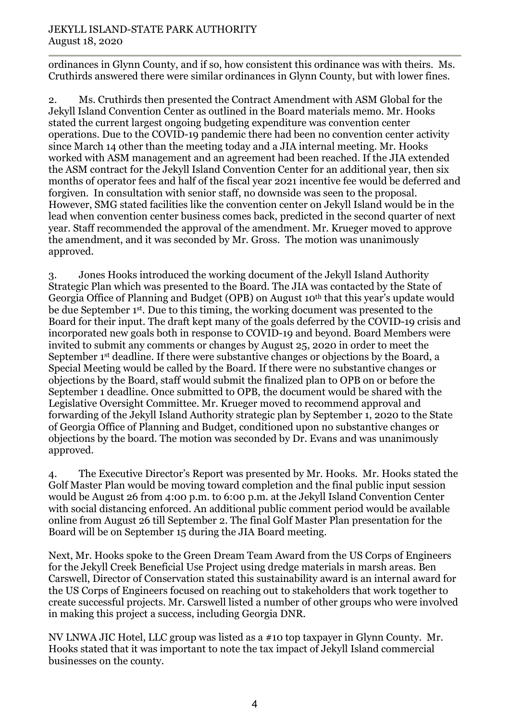### JEKYLL ISLAND-STATE PARK AUTHORITY August 18, 2020

ordinances in Glynn County, and if so, how consistent this ordinance was with theirs. Ms. Cruthirds answered there were similar ordinances in Glynn County, but with lower fines.

2. Ms. Cruthirds then presented the Contract Amendment with ASM Global for the Jekyll Island Convention Center as outlined in the Board materials memo. Mr. Hooks stated the current largest ongoing budgeting expenditure was convention center operations. Due to the COVID-19 pandemic there had been no convention center activity since March 14 other than the meeting today and a JIA internal meeting. Mr. Hooks worked with ASM management and an agreement had been reached. If the JIA extended the ASM contract for the Jekyll Island Convention Center for an additional year, then six months of operator fees and half of the fiscal year 2021 incentive fee would be deferred and forgiven. In consultation with senior staff, no downside was seen to the proposal. However, SMG stated facilities like the convention center on Jekyll Island would be in the lead when convention center business comes back, predicted in the second quarter of next year. Staff recommended the approval of the amendment. Mr. Krueger moved to approve the amendment, and it was seconded by Mr. Gross. The motion was unanimously approved.

3. Jones Hooks introduced the working document of the Jekyll Island Authority Strategic Plan which was presented to the Board. The JIA was contacted by the State of Georgia Office of Planning and Budget (OPB) on August 10<sup>th</sup> that this year's update would be due September 1st. Due to this timing, the working document was presented to the Board for their input. The draft kept many of the goals deferred by the COVID-19 crisis and incorporated new goals both in response to COVID-19 and beyond. Board Members were invited to submit any comments or changes by August 25, 2020 in order to meet the September 1<sup>st</sup> deadline. If there were substantive changes or objections by the Board, a Special Meeting would be called by the Board. If there were no substantive changes or objections by the Board, staff would submit the finalized plan to OPB on or before the September 1 deadline. Once submitted to OPB, the document would be shared with the Legislative Oversight Committee. Mr. Krueger moved to recommend approval and forwarding of the Jekyll Island Authority strategic plan by September 1, 2020 to the State of Georgia Office of Planning and Budget, conditioned upon no substantive changes or objections by the board. The motion was seconded by Dr. Evans and was unanimously approved.

4. The Executive Director's Report was presented by Mr. Hooks. Mr. Hooks stated the Golf Master Plan would be moving toward completion and the final public input session would be August 26 from 4:00 p.m. to 6:00 p.m. at the Jekyll Island Convention Center with social distancing enforced. An additional public comment period would be available online from August 26 till September 2. The final Golf Master Plan presentation for the Board will be on September 15 during the JIA Board meeting.

Next, Mr. Hooks spoke to the Green Dream Team Award from the US Corps of Engineers for the Jekyll Creek Beneficial Use Project using dredge materials in marsh areas. Ben Carswell, Director of Conservation stated this sustainability award is an internal award for the US Corps of Engineers focused on reaching out to stakeholders that work together to create successful projects. Mr. Carswell listed a number of other groups who were involved in making this project a success, including Georgia DNR.

NV LNWA JIC Hotel, LLC group was listed as a #10 top taxpayer in Glynn County. Mr. Hooks stated that it was important to note the tax impact of Jekyll Island commercial businesses on the county.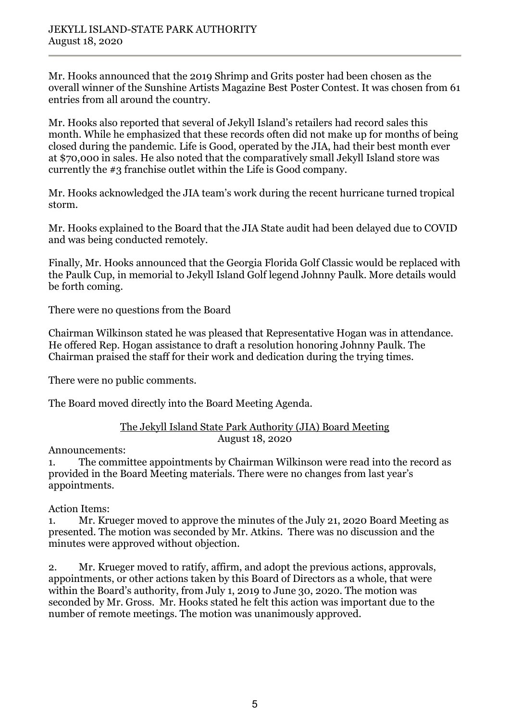Mr. Hooks announced that the 2019 Shrimp and Grits poster had been chosen as the overall winner of the Sunshine Artists Magazine Best Poster Contest. It was chosen from 61 entries from all around the country.

Mr. Hooks also reported that several of Jekyll Island's retailers had record sales this month. While he emphasized that these records often did not make up for months of being closed during the pandemic. Life is Good, operated by the JIA, had their best month ever at \$70,000 in sales. He also noted that the comparatively small Jekyll Island store was currently the #3 franchise outlet within the Life is Good company.

Mr. Hooks acknowledged the JIA team's work during the recent hurricane turned tropical storm.

Mr. Hooks explained to the Board that the JIA State audit had been delayed due to COVID and was being conducted remotely.

Finally, Mr. Hooks announced that the Georgia Florida Golf Classic would be replaced with the Paulk Cup, in memorial to Jekyll Island Golf legend Johnny Paulk. More details would be forth coming.

There were no questions from the Board

Chairman Wilkinson stated he was pleased that Representative Hogan was in attendance. He offered Rep. Hogan assistance to draft a resolution honoring Johnny Paulk. The Chairman praised the staff for their work and dedication during the trying times.

There were no public comments.

The Board moved directly into the Board Meeting Agenda.

#### The Jekyll Island State Park Authority (JIA) Board Meeting August 18, 2020

Announcements:

1. The committee appointments by Chairman Wilkinson were read into the record as provided in the Board Meeting materials. There were no changes from last year's appointments.

Action Items:

1. Mr. Krueger moved to approve the minutes of the July 21, 2020 Board Meeting as presented. The motion was seconded by Mr. Atkins. There was no discussion and the minutes were approved without objection.

2. Mr. Krueger moved to ratify, affirm, and adopt the previous actions, approvals, appointments, or other actions taken by this Board of Directors as a whole, that were within the Board's authority, from July 1, 2019 to June 30, 2020. The motion was seconded by Mr. Gross. Mr. Hooks stated he felt this action was important due to the number of remote meetings. The motion was unanimously approved.